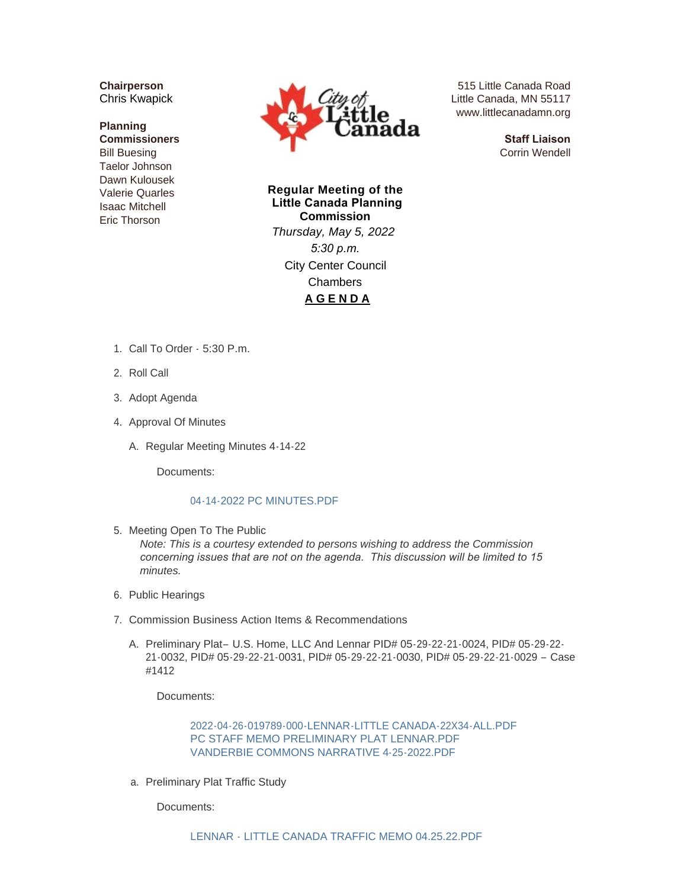**Chairperson** Chris Kwapick

## **Planning Commissioners** Bill Buesing Taelor Johnson Dawn Kulousek Valerie Quarles Isaac Mitchell Eric Thorson



515 Little Canada Road Little Canada, MN 55117 www.littlecanadamn.org

> **Staff Liaison** Corrin Wendell

**Regular Meeting of the Little Canada Planning Commission** *Thursday, May 5, 2022 5:30 p.m.* City Center Council Chambers **A G E N D A**

- 1. Call To Order 5:30 P.m.
- 2. Roll Call
- 3. Adopt Agenda
- 4. Approval Of Minutes
	- A. Regular Meeting Minutes 4-14-22

Documents:

## [04-14-2022 PC MINUTES.PDF](http://www.littlecanadamn.org/AgendaCenter/ViewFile/Item/3985?fileID=3740)

5. Meeting Open To The Public

*Note: This is a courtesy extended to persons wishing to address the Commission concerning issues that are not on the agenda. This discussion will be limited to 15 minutes.*

- 6. Public Hearings
- 7. Commission Business Action Items & Recommendations
	- A. Preliminary Plat- U.S. Home, LLC And Lennar PID# 05-29-22-21-0024, PID# 05-29-22-21-0032, PID# 05-29-22-21-0031, PID# 05-29-22-21-0030, PID# 05-29-22-21-0029 – Case #1412

Documents:

[2022-04-26-019789-000-LENNAR-LITTLE CANADA-22X34-ALL.PDF](http://www.littlecanadamn.org/AgendaCenter/ViewFile/Item/3986?fileID=3742) [PC STAFF MEMO PRELIMINARY PLAT LENNAR.PDF](http://www.littlecanadamn.org/AgendaCenter/ViewFile/Item/3986?fileID=3743) [VANDERBIE COMMONS NARRATIVE 4-25-2022.PDF](http://www.littlecanadamn.org/AgendaCenter/ViewFile/Item/3986?fileID=3744)

a. Preliminary Plat Traffic Study

Documents: